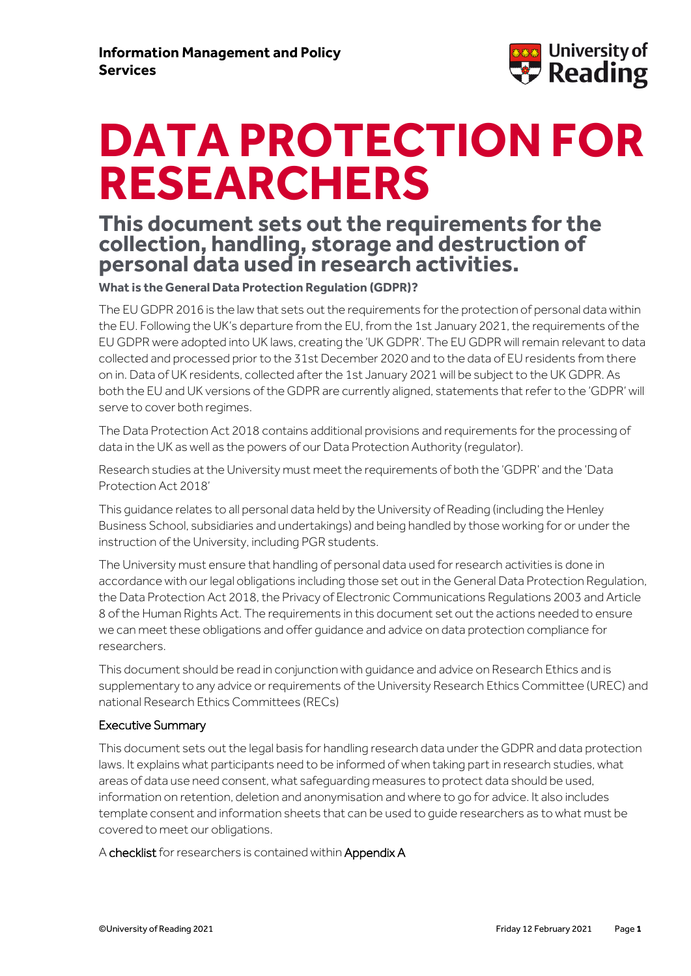

# **DATA PROTECTION FOR RESEARCHERS Unit name goes here**

# **This document sets out the requirements for the collection, handling, storage and destruction of personal data used in research activities.**

# **What is the General Data Protection Regulation (GDPR)?**

The EU GDPR 2016 is the law that sets out the requirements for the protection of personal data within the EU. Following the UK's departure from the EU, from the 1st January 2021, the requirements of the EU GDPR were adopted into UK laws, creating the 'UK GDPR'. The EU GDPR will remain relevant to data collected and processed prior to the 31st December 2020 and to the data of EU residents from there on in. Data of UK residents, collected after the 1st January 2021 will be subject to the UK GDPR. As both the EU and UK versions of the GDPR are currently aligned, statements that refer to the 'GDPR' will serve to cover both regimes.

The Data Protection Act 2018 contains additional provisions and requirements for the processing of data in the UK as well as the powers of our Data Protection Authority (regulator).

Research studies at the University must meet the requirements of both the 'GDPR' and the 'Data Protection Act 2018'

This guidance relates to all personal data held by the University of Reading (including the Henley Business School, subsidiaries and undertakings) and being handled by those working for or under the instruction of the University, including PGR students.

The University must ensure that handling of personal data used for research activities is done in accordance with our legal obligations including those set out in the General Data Protection Regulation, the Data Protection Act 2018, the Privacy of Electronic Communications Regulations 2003 and Article 8 of the Human Rights Act. The requirements in this document set out the actions needed to ensure we can meet these obligations and offer guidance and advice on data protection compliance for researchers.

This document should be read in conjunction with guidance and advice on Research Ethics and is supplementary to any advice or requirements of the University Research Ethics Committee (UREC) and national Research Ethics Committees (RECs)

### Executive Summary

This document sets out the legal basis for handling research data under the GDPR and data protection laws. It explains what participants need to be informed of when taking part in research studies, what areas of data use need consent, what safeguarding measures to protect data should be used, information on retention, deletion and anonymisation and where to go for advice. It also includes template consent and information sheets that can be used to guide researchers as to what must be covered to meet our obligations.

A checklist for researchers is contained within Appendix A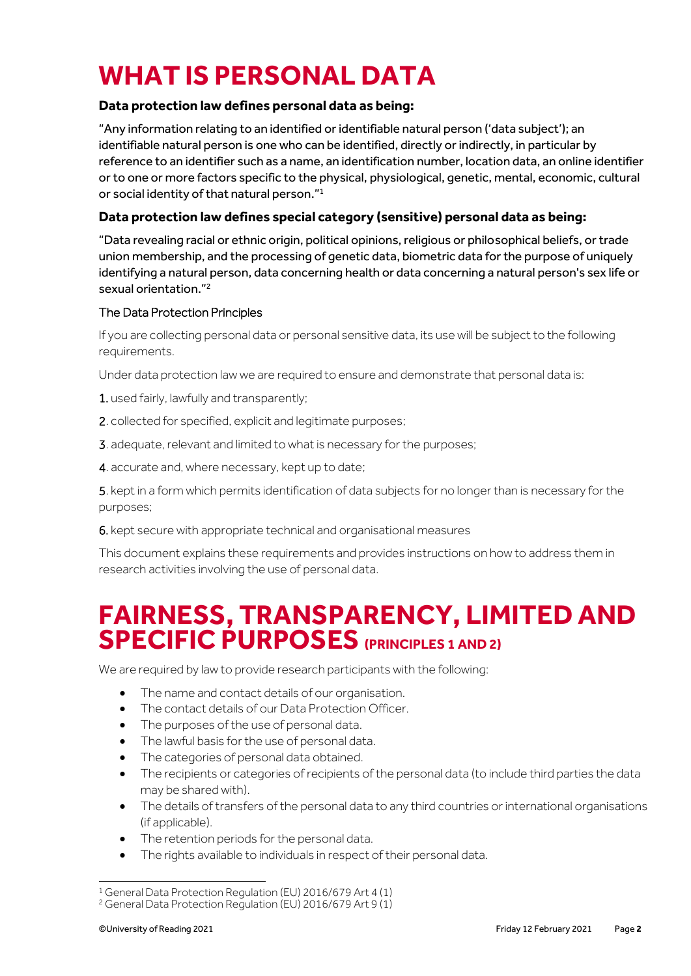# **WHAT IS PERSONAL DATA**

# **Data protection law defines personal data as being:**

"Any information relating to an identified or identifiable natural person ('data subject'); an identifiable natural person is one who can be identified, directly or indirectly, in particular by reference to an identifier such as a name, an identification number, location data, an online identifier or to one or more factors specific to the physical, physiological, genetic, mental, economic, cultural or social identity of that natural person." 1

# **Data protection law defines special category (sensitive) personal data as being:**

"Data revealing racial or ethnic origin, political opinions, religious or philosophical beliefs, or trade union membership, and the processing of genetic data, biometric data for the purpose of uniquely identifying a natural person, data concerning health or data concerning a natural person's sex life or sexual orientation." 2

## The Data Protection Principles

If you are collecting personal data or personal sensitive data, its use will be subject to the following requirements.

Under data protection law we are required to ensure and demonstrate that personal data is:

- 1. used fairly, lawfully and transparently;
- 2. collected for specified, explicit and legitimate purposes;
- 3. adequate, relevant and limited to what is necessary for the purposes;
- 4. accurate and, where necessary, kept up to date;

5. kept in a form which permits identification of data subjects for no longer than is necessary for the purposes;

6. kept secure with appropriate technical and organisational measures

This document explains these requirements and provides instructions on how to address them in research activities involving the use of personal data.

# **FAIRNESS, TRANSPARENCY, LIMITED AND SPECIFIC PURPOSES (PRINCIPLES 1 AND 2)**

We are required by law to provide research participants with the following:

- The name and contact details of our organisation.
- The contact details of our Data Protection Officer.
- The purposes of the use of personal data.
- The lawful basis for the use of personal data.
- The categories of personal data obtained.
- The recipients or categories of recipients of the personal data (to include third parties the data may be shared with).
- The details of transfers of the personal data to any third countries or international organisations (if applicable).
- The retention periods for the personal data.
- The rights available to individuals in respect of their personal data.

<sup>.</sup> <sup>1</sup> General Data Protection Regulation (EU) 2016/679 Art 4 (1)

<sup>2</sup> General Data Protection Regulation (EU) 2016/679 Art 9 (1)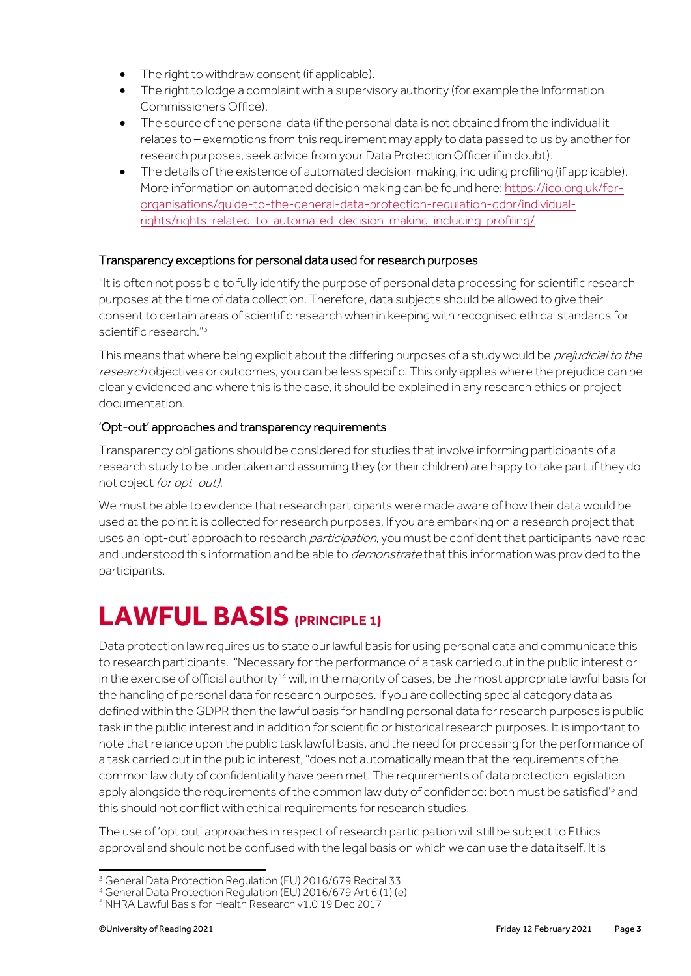- The right to withdraw consent (if applicable).
- The right to lodge a complaint with a supervisory authority (for example the Information Commissioners Office).
- The source of the personal data (if the personal data is not obtained from the individual it relates to – exemptions from this requirement may apply to data passed to us by another for research purposes, seek advice from your Data Protection Officer if in doubt).
- The details of the existence of automated decision-making, including profiling (if applicable). More information on automated decision making can be found here: [https://ico.org.uk/for](https://ico.org.uk/for-organisations/guide-to-the-general-data-protection-regulation-gdpr/individual-rights/rights-related-to-automated-decision-making-including-profiling/)[organisations/guide-to-the-general-data-protection-regulation-gdpr/individual](https://ico.org.uk/for-organisations/guide-to-the-general-data-protection-regulation-gdpr/individual-rights/rights-related-to-automated-decision-making-including-profiling/)[rights/rights-related-to-automated-decision-making-including-profiling/](https://ico.org.uk/for-organisations/guide-to-the-general-data-protection-regulation-gdpr/individual-rights/rights-related-to-automated-decision-making-including-profiling/)

## Transparency exceptions for personal data used for research purposes

"It is often not possible to fully identify the purpose of personal data processing for scientific research purposes at the time of data collection. Therefore, data subjects should be allowed to give their consent to certain areas of scientific research when in keeping with recognised ethical standards for scientific research." 3

This means that where being explicit about the differing purposes of a study would be *prejudicial to the* research objectives or outcomes, you can be less specific. This only applies where the prejudice can be clearly evidenced and where this is the case, it should be explained in any research ethics or project documentation.

## 'Opt-out' approaches and transparency requirements

Transparency obligations should be considered for studies that involve informing participants of a research study to be undertaken and assuming they (or their children) are happy to take part if they do not object (or opt-out).

We must be able to evidence that research participants were made aware of how their data would be used at the point it is collected for research purposes. If you are embarking on a research project that uses an 'opt-out' approach to research *participation*, you must be confident that participants have read and understood this information and be able to *demonstrate* that this information was provided to the participants.

# **LAWFUL BASIS (PRINCIPLE 1)**

Data protection law requires us to state our lawful basis for using personal data and communicate this to research participants. "Necessary for the performance of a task carried out in the public interest or in the exercise of official authority"<sup>4</sup> will, in the majority of cases, be the most appropriate lawful basis for the handling of personal data for research purposes. If you are collecting special category data as defined within the GDPR then the lawful basis for handling personal data for research purposes is public task in the public interest and in addition for scientific or historical research purposes. It is important to note that reliance upon the public task lawful basis, and the need for processing for the performance of a task carried out in the public interest, "does not automatically mean that the requirements of the common law duty of confidentiality have been met. The requirements of data protection legislation apply alongside the requirements of the common law duty of confidence: both must be satisfied'<sup>5</sup> and this should not conflict with ethical requirements for research studies.

The use of 'opt out' approaches in respect of research participation will still be subject to Ethics approval and should not be confused with the legal basis on which we can use the data itself. It is

<sup>.</sup> <sup>3</sup> General Data Protection Regulation (EU) 2016/679 Recital 33

<sup>4</sup> General Data Protection Regulation (EU) 2016/679 Art 6 (1) (e)

<sup>5</sup> NHRA Lawful Basis for Health Research v1.0 19 Dec 2017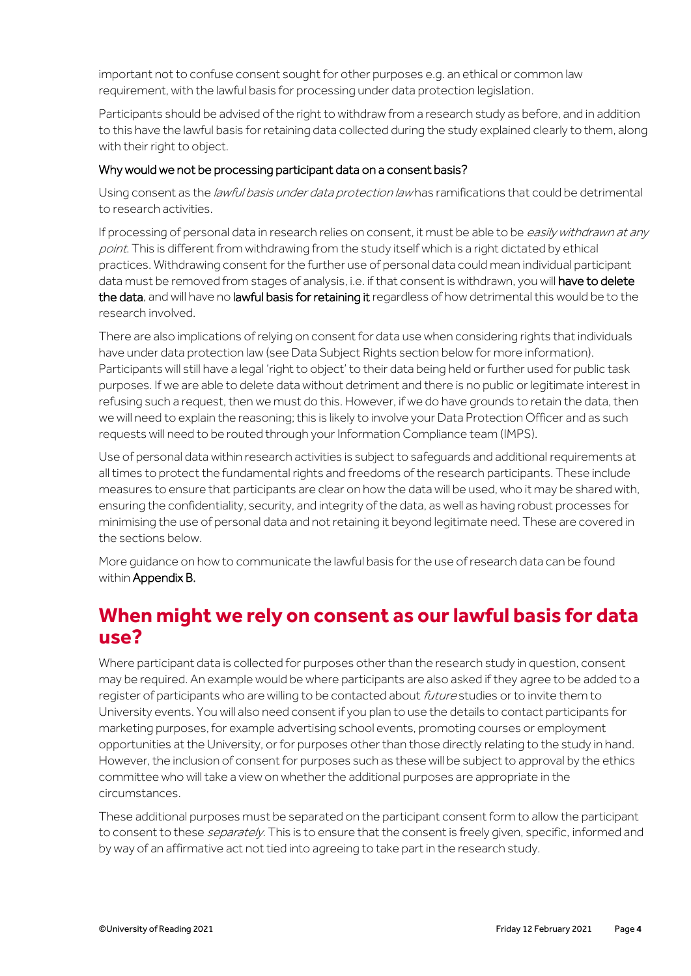important not to confuse consent sought for other purposes e.g. an ethical or common law requirement, with the lawful basis for processing under data protection legislation.

Participants should be advised of the right to withdraw from a research study as before, and in addition to this have the lawful basis for retaining data collected during the study explained clearly to them, along with their right to object.

#### Why would we not be processing participant data on a consent basis?

Using consent as the *lawful basis under data protection law* has ramifications that could be detrimental to research activities.

If processing of personal data in research relies on consent, it must be able to be easily withdrawn at any point. This is different from withdrawing from the study itself which is a right dictated by ethical practices. Withdrawing consent for the further use of personal data could mean individual participant data must be removed from stages of analysis, i.e. if that consent is withdrawn, you will have to delete the data, and will have no lawful basis for retaining it regardless of how detrimental this would be to the research involved.

There are also implications of relying on consent for data use when considering rights that individuals have under data protection law (see Data Subject Rights section below for more information). Participants will still have a legal 'right to object' to their data being held or further used for public task purposes. If we are able to delete data without detriment and there is no public or legitimate interest in refusing such a request, then we must do this. However, if we do have grounds to retain the data, then we will need to explain the reasoning; this is likely to involve your Data Protection Officer and as such requests will need to be routed through your Information Compliance team (IMPS).

Use of personal data within research activities is subject to safeguards and additional requirements at all times to protect the fundamental rights and freedoms of the research participants. These include measures to ensure that participants are clear on how the data will be used, who it may be shared with, ensuring the confidentiality, security, and integrity of the data, as well as having robust processes for minimising the use of personal data and not retaining it beyond legitimate need. These are covered in the sections below.

More guidance on how to communicate the lawful basis for the use of research data can be found within Appendix B.

# **When might we rely on consent as our lawful basis for data use?**

Where participant data is collected for purposes other than the research study in question, consent may be required. An example would be where participants are also asked if they agree to be added to a register of participants who are willing to be contacted about *future* studies or to invite them to University events. You will also need consent if you plan to use the details to contact participants for marketing purposes, for example advertising school events, promoting courses or employment opportunities at the University, or for purposes other than those directly relating to the study in hand. However, the inclusion of consent for purposes such as these will be subject to approval by the ethics committee who will take a view on whether the additional purposes are appropriate in the circumstances.

These additional purposes must be separated on the participant consent form to allow the participant to consent to these *separately*. This is to ensure that the consent is freely given, specific, informed and by way of an affirmative act not tied into agreeing to take part in the research study.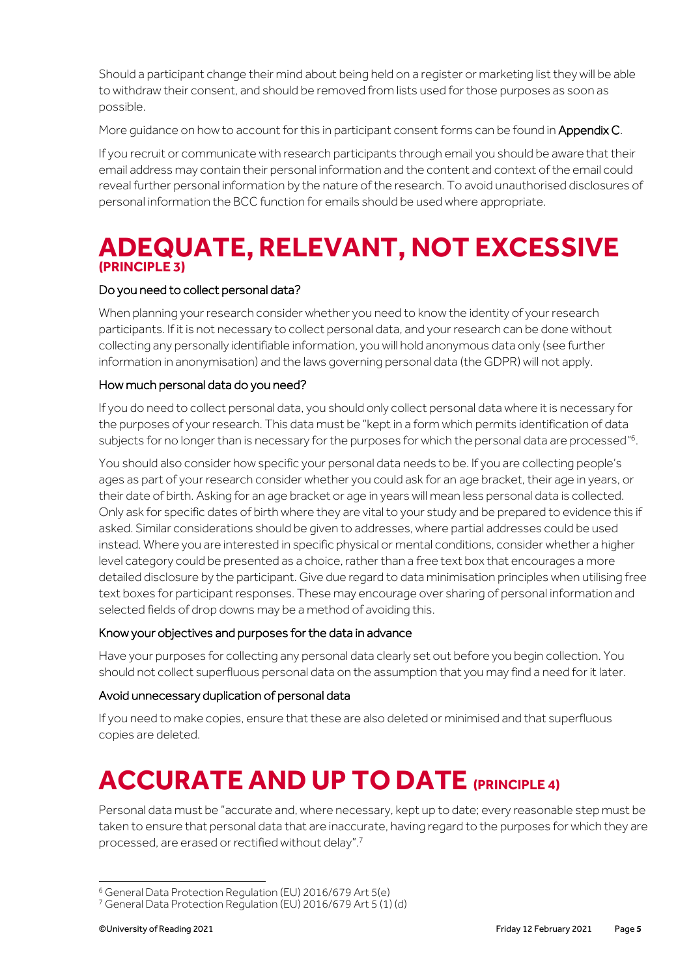Should a participant change their mind about being held on a register or marketing list they will be able to withdraw their consent, and should be removed from lists used for those purposes as soon as possible.

More quidance on how to account for this in participant consent forms can be found in Appendix C.

If you recruit or communicate with research participants through email you should be aware that their email address may contain their personal information and the content and context of the email could reveal further personal information by the nature of the research. To avoid unauthorised disclosures of personal information the BCC function for emails should be used where appropriate.

# **ADEQUATE, RELEVANT, NOT EXCESSIVE (PRINCIPLE 3)**

### Do you need to collect personal data?

When planning your research consider whether you need to know the identity of your research participants. If it is not necessary to collect personal data, and your research can be done without collecting any personally identifiable information, you will hold anonymous data only (see further information in anonymisation) and the laws governing personal data (the GDPR) will not apply.

#### How much personal data do you need?

If you do need to collect personal data, you should only collect personal data where it is necessary for the purposes of your research. This data must be "kept in a form which permits identification of data subjects for no longer than is necessary for the purposes for which the personal data are processed"<sup>6</sup>.

You should also consider how specific your personal data needs to be. If you are collecting people's ages as part of your research consider whether you could ask for an age bracket, their age in years, or their date of birth. Asking for an age bracket or age in years will mean less personal data is collected. Only ask for specific dates of birth where they are vital to your study and be prepared to evidence this if asked. Similar considerations should be given to addresses, where partial addresses could be used instead. Where you are interested in specific physical or mental conditions, consider whether a higher level category could be presented as a choice, rather than a free text box that encourages a more detailed disclosure by the participant. Give due regard to data minimisation principles when utilising free text boxes for participant responses. These may encourage over sharing of personal information and selected fields of drop downs may be a method of avoiding this.

#### Know your objectives and purposes for the data in advance

Have your purposes for collecting any personal data clearly set out before you begin collection. You should not collect superfluous personal data on the assumption that you may find a need for it later.

#### Avoid unnecessary duplication of personal data

If you need to make copies, ensure that these are also deleted or minimised and that superfluous copies are deleted.

# **ACCURATE AND UP TO DATE (PRINCIPLE 4)**

Personal data must be "accurate and, where necessary, kept up to date; every reasonable step must be taken to ensure that personal data that are inaccurate, having regard to the purposes for which they are processed, are erased or rectified without delay".<sup>7</sup>

<sup>.</sup> <sup>6</sup> General Data Protection Regulation (EU) 2016/679 Art 5(e)

<sup>7</sup> General Data Protection Regulation (EU) 2016/679 Art 5 (1) (d)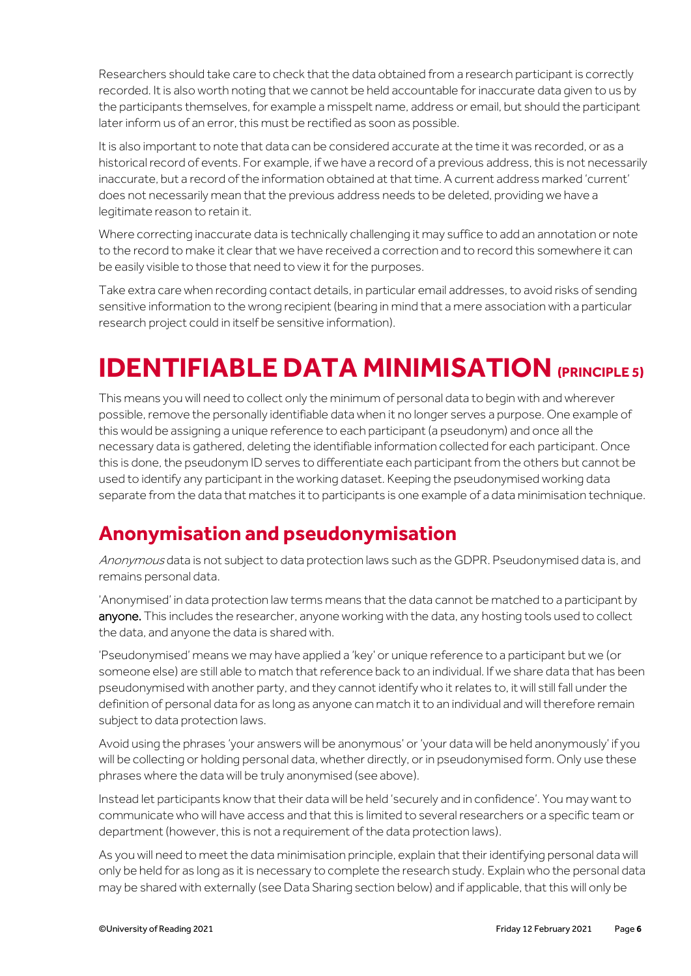Researchers should take care to check that the data obtained from a research participant is correctly recorded. It is also worth noting that we cannot be held accountable for inaccurate data given to us by the participants themselves, for example a misspelt name, address or email, but should the participant later inform us of an error, this must be rectified as soon as possible.

It is also important to note that data can be considered accurate at the time it was recorded, or as a historical record of events. For example, if we have a record of a previous address, this is not necessarily inaccurate, but a record of the information obtained at that time. A current address marked 'current' does not necessarily mean that the previous address needs to be deleted, providing we have a legitimate reason to retain it.

Where correcting inaccurate data is technically challenging it may suffice to add an annotation or note to the record to make it clear that we have received a correction and to record this somewhere it can be easily visible to those that need to view it for the purposes.

Take extra care when recording contact details, in particular email addresses, to avoid risks of sending sensitive information to the wrong recipient (bearing in mind that a mere association with a particular research project could in itself be sensitive information).

# **IDENTIFIABLE DATA MINIMISATION (PRINCIPLE 5)**

This means you will need to collect only the minimum of personal data to begin with and wherever possible, remove the personally identifiable data when it no longer serves a purpose. One example of this would be assigning a unique reference to each participant (a pseudonym) and once all the necessary data is gathered, deleting the identifiable information collected for each participant. Once this is done, the pseudonym ID serves to differentiate each participant from the others but cannot be used to identify any participant in the working dataset. Keeping the pseudonymised working data separate from the data that matches it to participants is one example of a data minimisation technique.

# **Anonymisation and pseudonymisation**

Anonymous data is not subject to data protection laws such as the GDPR. Pseudonymised data is, and remains personal data.

'Anonymised' in data protection law terms means that the data cannot be matched to a participant by anyone. This includes the researcher, anyone working with the data, any hosting tools used to collect the data, and anyone the data is shared with.

'Pseudonymised' means we may have applied a 'key' or unique reference to a participant but we (or someone else) are still able to match that reference back to an individual. If we share data that has been pseudonymised with another party, and they cannot identify who it relates to, it will still fall under the definition of personal data for as long as anyone can match it to an individual and will therefore remain subject to data protection laws.

Avoid using the phrases 'your answers will be anonymous' or 'your data will be held anonymously' if you will be collecting or holding personal data, whether directly, or in pseudonymised form. Only use these phrases where the data will be truly anonymised (see above).

Instead let participants know that their data will be held 'securely and in confidence'. You may want to communicate who will have access and that this is limited to several researchers or a specific team or department (however, this is not a requirement of the data protection laws).

As you will need to meet the data minimisation principle, explain that their identifying personal data will only be held for as long as it is necessary to complete the research study. Explain who the personal data may be shared with externally (see Data Sharing section below) and if applicable, that this will only be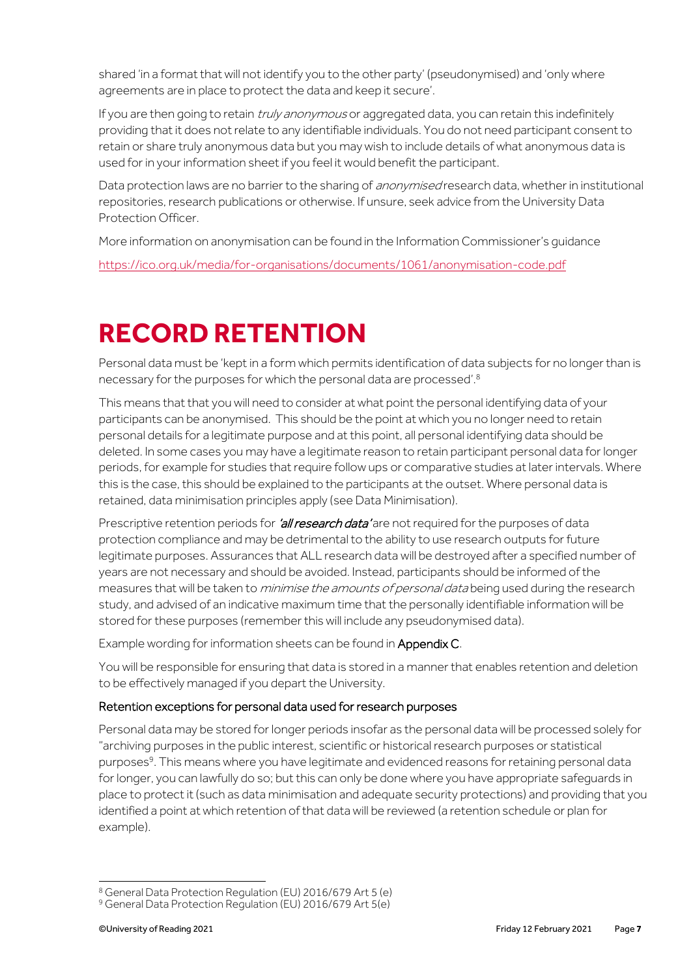shared 'in a format that will not identify you to the other party' (pseudonymised) and 'only where agreements are in place to protect the data and keep it secure'.

If you are then going to retain *truly anonymous* or aggregated data, you can retain this indefinitely providing that it does not relate to any identifiable individuals. You do not need participant consent to retain or share truly anonymous data but you may wish to include details of what anonymous data is used for in your information sheet if you feel it would benefit the participant.

Data protection laws are no barrier to the sharing of *anonymised* research data, whether in institutional repositories, research publications or otherwise. If unsure, seek advice from the University Data Protection Officer.

More information on anonymisation can be found in the Information Commissioner's guidance

<https://ico.org.uk/media/for-organisations/documents/1061/anonymisation-code.pdf>

# **RECORD RETENTION**

Personal data must be 'kept in a form which permits identification of data subjects for no longer than is necessary for the purposes for which the personal data are processed'.<sup>8</sup>

This means that that you will need to consider at what point the personal identifying data of your participants can be anonymised. This should be the point at which you no longer need to retain personal details for a legitimate purpose and at this point, all personal identifying data should be deleted. In some cases you may have a legitimate reason to retain participant personal data for longer periods, for example for studies that require follow ups or comparative studies at later intervals. Where this is the case, this should be explained to the participants at the outset. Where personal data is retained, data minimisation principles apply (see Data Minimisation).

Prescriptive retention periods for 'all research data' are not required for the purposes of data protection compliance and may be detrimental to the ability to use research outputs for future legitimate purposes. Assurances that ALL research data will be destroyed after a specified number of years are not necessary and should be avoided. Instead, participants should be informed of the measures that will be taken to *minimise the amounts of personal data* being used during the research study, and advised of an indicative maximum time that the personally identifiable information will be stored for these purposes (remember this will include any pseudonymised data).

Example wording for information sheets can be found in Appendix C.

You will be responsible for ensuring that data is stored in a manner that enables retention and deletion to be effectively managed if you depart the University.

### Retention exceptions for personal data used for research purposes

Personal data may be stored for longer periods insofar as the personal data will be processed solely for "archiving purposes in the public interest, scientific or historical research purposes or statistical purposes<sup>9</sup>. This means where you have legitimate and evidenced reasons for retaining personal data for longer, you can lawfully do so; but this can only be done where you have appropriate safeguards in place to protect it (such as data minimisation and adequate security protections) and providing that you identified a point at which retention of that data will be reviewed (a retention schedule or plan for example).

<sup>.</sup> <sup>8</sup> General Data Protection Regulation (EU) 2016/679 Art 5 (e)

<sup>9</sup> General Data Protection Regulation (EU) 2016/679 Art 5(e)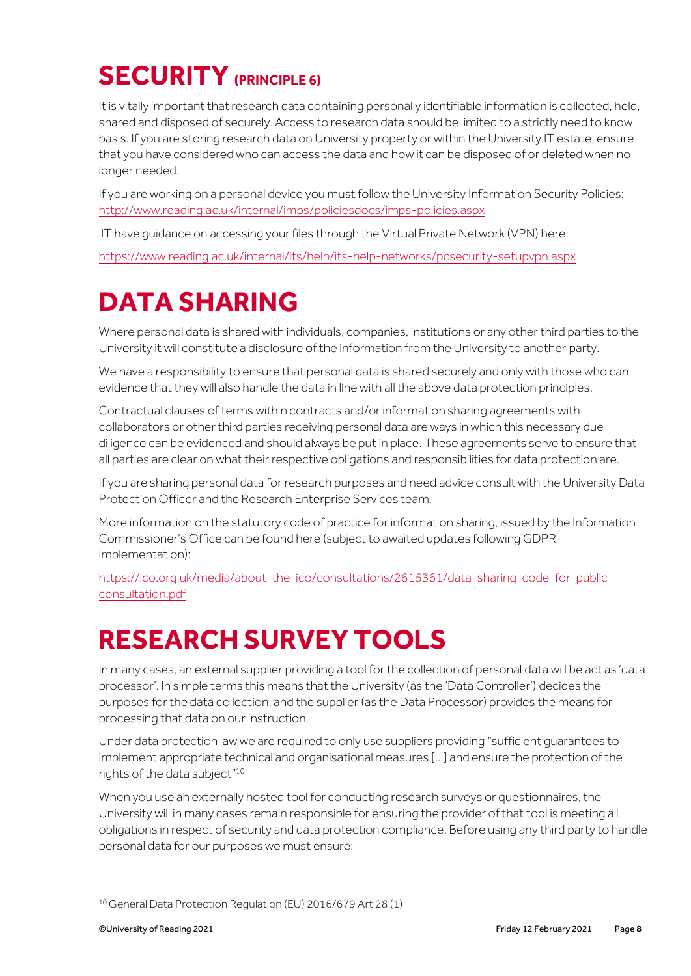# **SECURITY (PRINCIPLE 6)**

It is vitally important that research data containing personally identifiable information is collected, held, shared and disposed of securely. Access to research data should be limited to a strictly need to know basis. If you are storing research data on University property or within the University IT estate, ensure that you have considered who can access the data and how it can be disposed of or deleted when no longer needed.

If you are working on a personal device you must follow the University Information Security Policies: <http://www.reading.ac.uk/internal/imps/policiesdocs/imps-policies.aspx>

IT have guidance on accessing your files through the Virtual Private Network (VPN) here:

<https://www.reading.ac.uk/internal/its/help/its-help-networks/pcsecurity-setupvpn.aspx>

# **DATA SHARING**

Where personal data is shared with individuals, companies, institutions or any other third parties to the University it will constitute a disclosure of the information from the University to another party.

We have a responsibility to ensure that personal data is shared securely and only with those who can evidence that they will also handle the data in line with all the above data protection principles.

Contractual clauses of terms within contracts and/or information sharing agreements with collaborators or other third parties receiving personal data are ways in which this necessary due diligence can be evidenced and should always be put in place. These agreements serve to ensure that all parties are clear on what their respective obligations and responsibilities for data protection are.

If you are sharing personal data for research purposes and need advice consult with the University Data Protection Officer and the Research Enterprise Services team.

More information on the statutory code of practice for information sharing, issued by the Information Commissioner's Office can be found here (subject to awaited updates following GDPR implementation):

[https://ico.org.uk/media/about-the-ico/consultations/2615361/data-sharing-code-for-public](https://ico.org.uk/media/about-the-ico/consultations/2615361/data-sharing-code-for-public-consultation.pdf)[consultation.pdf](https://ico.org.uk/media/about-the-ico/consultations/2615361/data-sharing-code-for-public-consultation.pdf)

# **RESEARCH SURVEY TOOLS**

In many cases, an external supplier providing a tool for the collection of personal data will be act as 'data processor'. In simple terms this means that the University (as the 'Data Controller') decides the purposes for the data collection, and the supplier (as the Data Processor) provides the means for processing that data on our instruction.

Under data protection law we are required to only use suppliers providing "sufficient guarantees to implement appropriate technical and organisational measures […] and ensure the protection of the rights of the data subject"<sup>10</sup>

When you use an externally hosted tool for conducting research surveys or questionnaires, the University will in many cases remain responsible for ensuring the provider of that tool is meeting all obligations in respect of security and data protection compliance. Before using any third party to handle personal data for our purposes we must ensure:

<sup>.</sup> <sup>10</sup> General Data Protection Regulation (EU) 2016/679 Art 28 (1)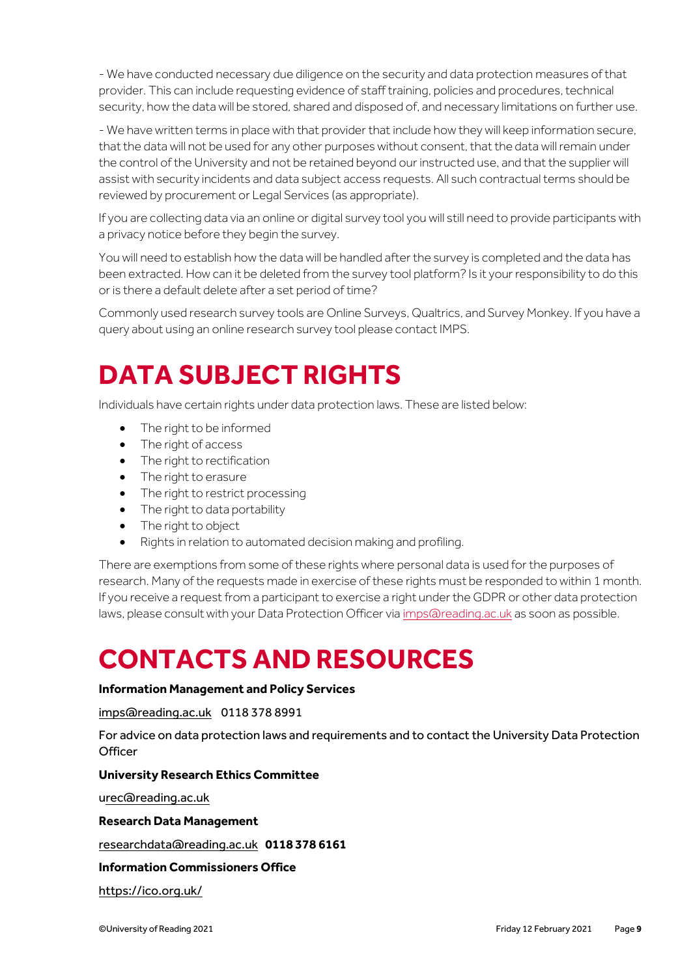- We have conducted necessary due diligence on the security and data protection measures of that provider. This can include requesting evidence of staff training, policies and procedures, technical security, how the data will be stored, shared and disposed of, and necessary limitations on further use.

- We have written terms in place with that provider that include how they will keep information secure, that the data will not be used for any other purposes without consent, that the data will remain under the control of the University and not be retained beyond our instructed use, and that the supplier will assist with security incidents and data subject access requests. All such contractual terms should be reviewed by procurement or Legal Services (as appropriate).

If you are collecting data via an online or digital survey tool you will still need to provide participants with a privacy notice before they begin the survey.

You will need to establish how the data will be handled after the survey is completed and the data has been extracted. How can it be deleted from the survey tool platform? Is it your responsibility to do this or is there a default delete after a set period of time?

Commonly used research survey tools are Online Surveys, Qualtrics, and Survey Monkey. If you have a query about using an online research survey tool please contact IMPS.

# **DATA SUBJECT RIGHTS**

Individuals have certain rights under data protection laws. These are listed below:

- The right to be informed
- The right of access
- The right to rectification
- The right to erasure
- The right to restrict processing
- The right to data portability
- The right to object
- Rights in relation to automated decision making and profiling.

There are exemptions from some of these rights where personal data is used for the purposes of research. Many of the requests made in exercise of these rights must be responded to within 1 month. If you receive a request from a participant to exercise a right under the GDPR or other data protection laws, please consult with your Data Protection Officer vi[a imps@reading.ac.uk](mailto:imps@reading.ac.uk) as soon as possible.

# **CONTACTS AND RESOURCES**

#### **Information Management and Policy Services**

[imps@reading.ac.uk](mailto:imps@reading.ac.uk) 0118 378 8991

For advice on data protection laws and requirements and to contact the University Data Protection **Officer** 

#### **University Research Ethics Committee**

[urec@reading.ac.uk](mailto:urec@reading.ac.uk)

#### **Research Data Management**

[researchdata@reading.ac.uk](mailto:researchdata@reading.ac.uk) **0118 378 6161**

#### **Information Commissioners Office**

<https://ico.org.uk/>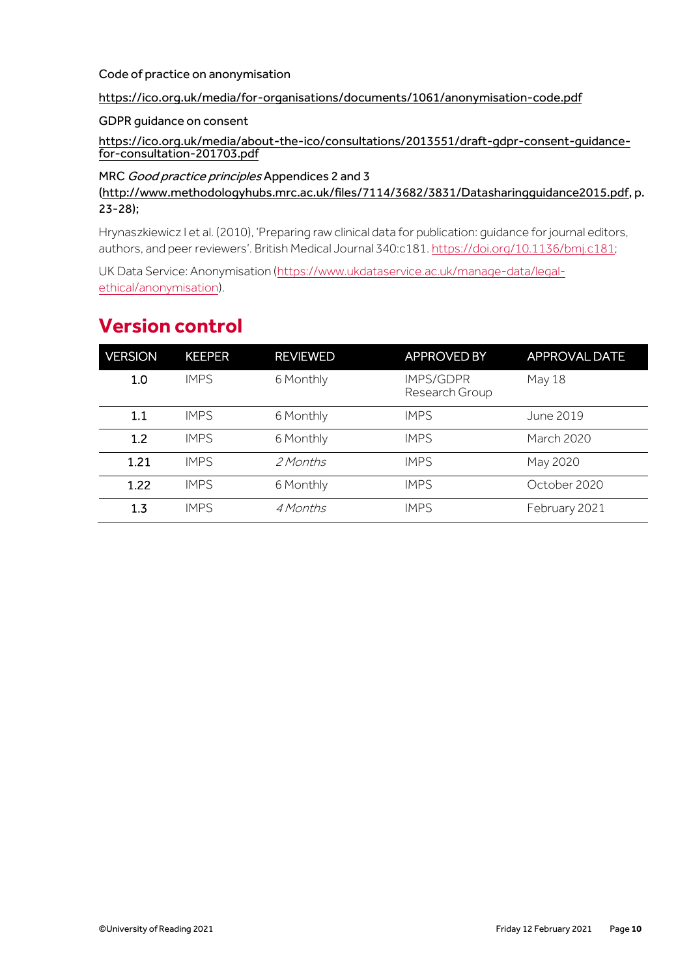#### Code of practice on anonymisation

#### https://ico.org.uk/media/for-organisations/documents/1061/anonymisation-code.pdf

#### GDPR guidance on consent

[https://ico.org.uk/media/about-the-ico/consultations/2013551/draft-gdpr-consent-guidance](https://ico.org.uk/media/about-the-ico/consultations/2013551/draft-gdpr-consent-guidance-for-consultation-201703.pdf)[for-consultation-201703.pdf](https://ico.org.uk/media/about-the-ico/consultations/2013551/draft-gdpr-consent-guidance-for-consultation-201703.pdf)

### MRC Good practice principles Appendices 2 and 3 [\(http://www.methodologyhubs.mrc.ac.uk/files/7114/3682/3831/Datasharingguidance2015.pdf,](http://www.methodologyhubs.mrc.ac.uk/files/7114/3682/3831/Datasharingguidance2015.pdf) p. 23-28);

Hrynaszkiewicz I et al. (2010), 'Preparing raw clinical data for publication: guidance for journal editors, authors, and peer reviewers'. British Medical Journal 340:c181. [https://doi.org/10.1136/bmj.c181;](https://doi.org/10.1136/bmj.c181)

UK Data Service: Anonymisation [\(https://www.ukdataservice.ac.uk/manage-data/legal](https://www.ukdataservice.ac.uk/manage-data/legal-ethical/anonymisation)[ethical/anonymisation\)](https://www.ukdataservice.ac.uk/manage-data/legal-ethical/anonymisation).

# **Version control**

| <b>VERSION</b> | <b>KEEPER</b> | <b>REVIEWED</b> | <b>APPROVED BY</b>          | <b>APPROVAL DATE</b> |
|----------------|---------------|-----------------|-----------------------------|----------------------|
| 1.0            | <b>IMPS</b>   | 6 Monthly       | IMPS/GDPR<br>Research Group | <b>May 18</b>        |
| $1.1\,$        | <b>IMPS</b>   | 6 Monthly       | <b>IMPS</b>                 | June 2019            |
| 1.2            | <b>IMPS</b>   | 6 Monthly       | <b>IMPS</b>                 | <b>March 2020</b>    |
| 1.21           | <b>IMPS</b>   | 2 Months        | <b>IMPS</b>                 | May 2020             |
| 1.22           | <b>IMPS</b>   | 6 Monthly       | <b>IMPS</b>                 | October 2020         |
| 1.3            | <b>IMPS</b>   | 4 Months        | <b>IMPS</b>                 | February 2021        |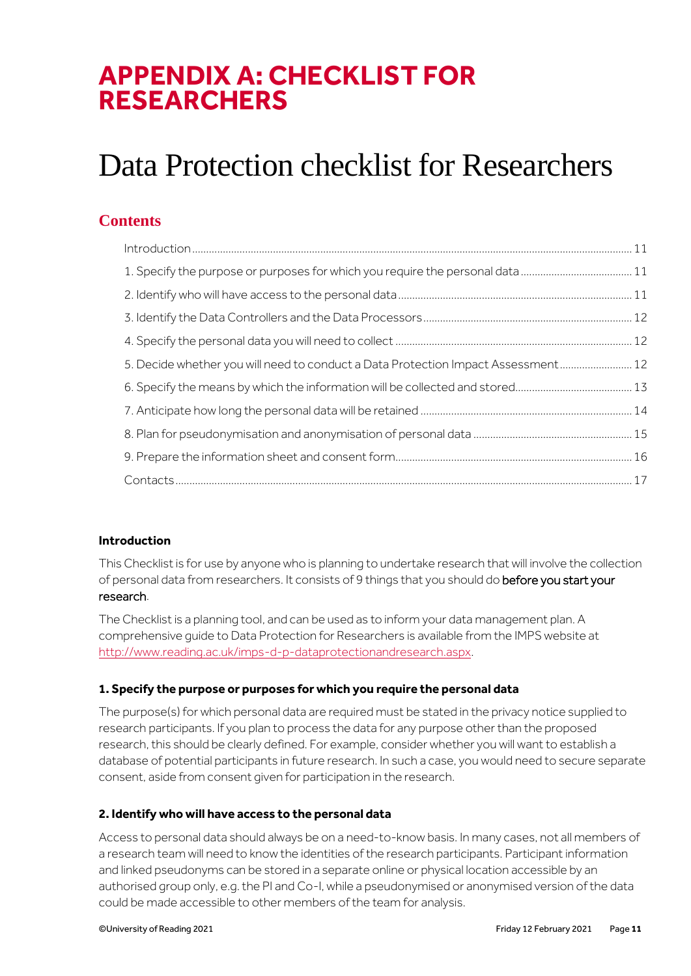# **APPENDIX A: CHECKLIST FOR RESEARCHERS**

# Data Protection checklist for Researchers

# **Contents**

| 5. Decide whether you will need to conduct a Data Protection Impact Assessment 12 |  |
|-----------------------------------------------------------------------------------|--|
|                                                                                   |  |
|                                                                                   |  |
|                                                                                   |  |
|                                                                                   |  |
|                                                                                   |  |

## <span id="page-10-0"></span>**Introduction**

This Checklist is for use by anyone who is planning to undertake research that will involve the collection of personal data from researchers. It consists of 9 things that you should do before you start your research.

The Checklist is a planning tool, and can be used as to inform your data management plan. A comprehensive guide to Data Protection for Researchers is available from the IMPS website at [http://www.reading.ac.uk/imps-d-p-dataprotectionandresearch.aspx.](http://www.reading.ac.uk/imps-d-p-dataprotectionandresearch.aspx)

## <span id="page-10-1"></span>**1. Specify the purpose or purposes for which you require the personal data**

The purpose(s) for which personal data are required must be stated in the privacy notice supplied to research participants. If you plan to process the data for any purpose other than the proposed research, this should be clearly defined. For example, consider whether you will want to establish a database of potential participants in future research. In such a case, you would need to secure separate consent, aside from consent given for participation in the research.

## <span id="page-10-2"></span>**2. Identify who will have access to the personal data**

Access to personal data should always be on a need-to-know basis. In many cases, not all members of a research team will need to know the identities of the research participants. Participant information and linked pseudonyms can be stored in a separate online or physical location accessible by an authorised group only, e.g. the PI and Co-I, while a pseudonymised or anonymised version of the data could be made accessible to other members of the team for analysis.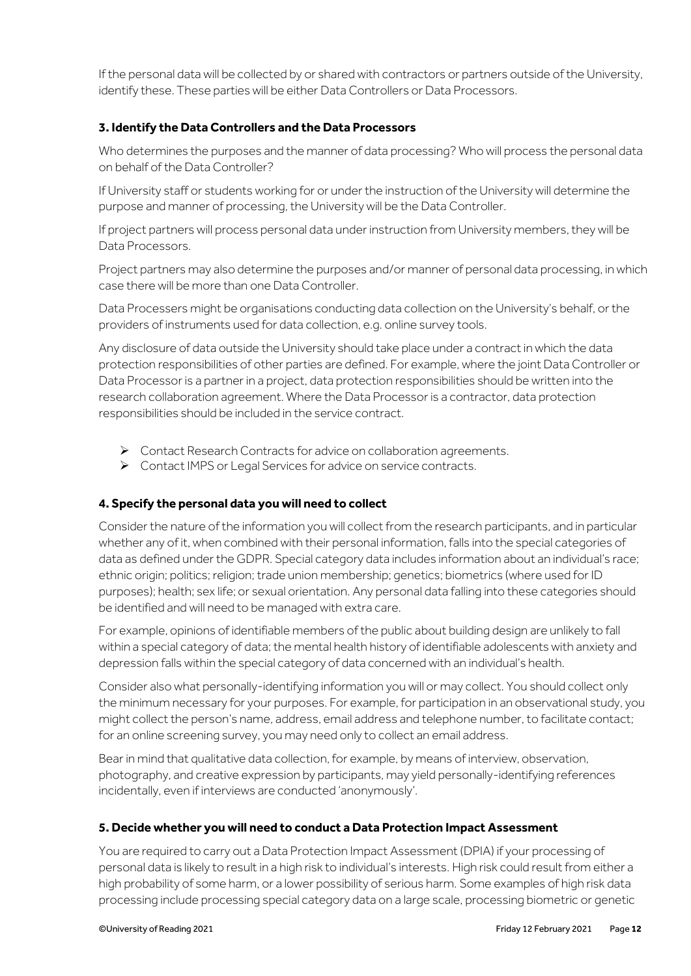If the personal data will be collected by or shared with contractors or partners outside of the University, identify these. These parties will be either Data Controllers or Data Processors.

### <span id="page-11-0"></span>**3. Identify the Data Controllers and the Data Processors**

Who determines the purposes and the manner of data processing? Who will process the personal data on behalf of the Data Controller?

If University staff or students working for or under the instruction of the University will determine the purpose and manner of processing, the University will be the Data Controller.

If project partners will process personal data under instruction from University members, they will be Data Processors.

Project partners may also determine the purposes and/or manner of personal data processing, in which case there will be more than one Data Controller.

Data Processers might be organisations conducting data collection on the University's behalf, or the providers of instruments used for data collection, e.g. online survey tools.

Any disclosure of data outside the University should take place under a contract in which the data protection responsibilities of other parties are defined. For example, where the joint Data Controller or Data Processor is a partner in a project, data protection responsibilities should be written into the research collaboration agreement. Where the Data Processor is a contractor, data protection responsibilities should be included in the service contract.

- Contact Research Contracts for advice on collaboration agreements.
- Contact IMPS or Legal Services for advice on service contracts.

### <span id="page-11-1"></span>**4. Specify the personal data you will need to collect**

Consider the nature of the information you will collect from the research participants, and in particular whether any of it, when combined with their personal information, falls into the special categories of data as defined under the GDPR. Special category data includes information about an individual's race; ethnic origin; politics; religion; trade union membership; genetics; biometrics (where used for ID purposes); health; sex life; or sexual orientation. Any personal data falling into these categories should be identified and will need to be managed with extra care.

For example, opinions of identifiable members of the public about building design are unlikely to fall within a special category of data; the mental health history of identifiable adolescents with anxiety and depression falls within the special category of data concerned with an individual's health.

Consider also what personally-identifying information you will or may collect. You should collect only the minimum necessary for your purposes. For example, for participation in an observational study, you might collect the person's name, address, email address and telephone number, to facilitate contact; for an online screening survey, you may need only to collect an email address.

Bear in mind that qualitative data collection, for example, by means of interview, observation, photography, and creative expression by participants, may yield personally-identifying references incidentally, even if interviews are conducted 'anonymously'.

### <span id="page-11-2"></span>**5. Decide whether you will need to conduct a Data Protection Impact Assessment**

You are required to carry out a Data Protection Impact Assessment (DPIA) if your processing of personal data is likely to result in a high risk to individual's interests. High risk could result from either a high probability of some harm, or a lower possibility of serious harm. Some examples of high risk data processing include processing special category data on a large scale, processing biometric or genetic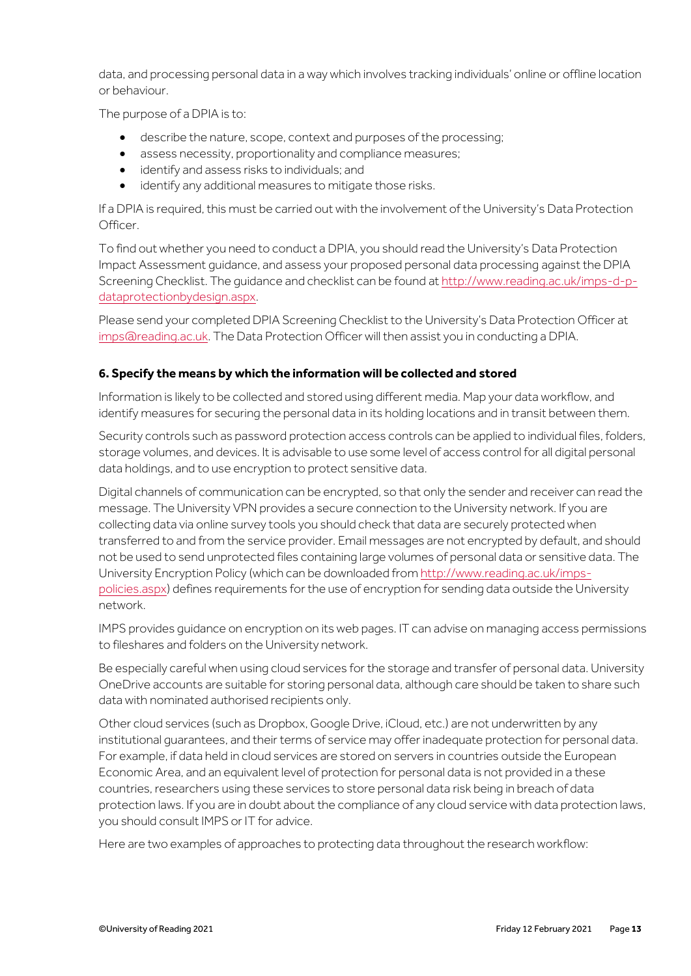data, and processing personal data in a way which involves tracking individuals' online or offline location or behaviour.

The purpose of a DPIA is to:

- describe the nature, scope, context and purposes of the processing;
- assess necessity, proportionality and compliance measures;
- identify and assess risks to individuals; and
- identify any additional measures to mitigate those risks.

If a DPIA is required, this must be carried out with the involvement of the University's Data Protection **Officer** 

To find out whether you need to conduct a DPIA, you should read the University's Data Protection Impact Assessment guidance, and assess your proposed personal data processing against the DPIA Screening Checklist. The guidance and checklist can be found a[t http://www.reading.ac.uk/imps-d-p](http://www.reading.ac.uk/imps-d-p-dataprotectionbydesign.aspx)[dataprotectionbydesign.aspx.](http://www.reading.ac.uk/imps-d-p-dataprotectionbydesign.aspx) 

Please send your completed DPIA Screening Checklist to the University's Data Protection Officer at [imps@reading.ac.uk.](mailto:imps@reading.ac.uk) The Data Protection Officer will then assist you in conducting a DPIA.

## <span id="page-12-0"></span>**6. Specify the means by which the information will be collected and stored**

Information is likely to be collected and stored using different media. Map your data workflow, and identify measures for securing the personal data in its holding locations and in transit between them.

Security controls such as password protection access controls can be applied to individual files, folders, storage volumes, and devices. It is advisable to use some level of access control for all digital personal data holdings, and to use encryption to protect sensitive data.

Digital channels of communication can be encrypted, so that only the sender and receiver can read the message. The University VPN provides a secure connection to the University network. If you are collecting data via online survey tools you should check that data are securely protected when transferred to and from the service provider. Email messages are not encrypted by default, and should not be used to send unprotected files containing large volumes of personal data or sensitive data. The University Encryption Policy (which can be downloaded fro[m http://www.reading.ac.uk/imps](http://www.reading.ac.uk/imps-policies.aspx)[policies.aspx\)](http://www.reading.ac.uk/imps-policies.aspx) defines requirements for the use of encryption for sending data outside the University network.

IMPS provides guidance on encryption on its web pages. IT can advise on managing access permissions to fileshares and folders on the University network.

Be especially careful when using cloud services for the storage and transfer of personal data. University OneDrive accounts are suitable for storing personal data, although care should be taken to share such data with nominated authorised recipients only.

Other cloud services (such as Dropbox, Google Drive, iCloud, etc.) are not underwritten by any institutional guarantees, and their terms of service may offer inadequate protection for personal data. For example, if data held in cloud services are stored on servers in countries outside the European Economic Area, and an equivalent level of protection for personal data is not provided in a these countries, researchers using these services to store personal data risk being in breach of data protection laws. If you are in doubt about the compliance of any cloud service with data protection laws, you should consult IMPS or IT for advice.

Here are two examples of approaches to protecting data throughout the research workflow: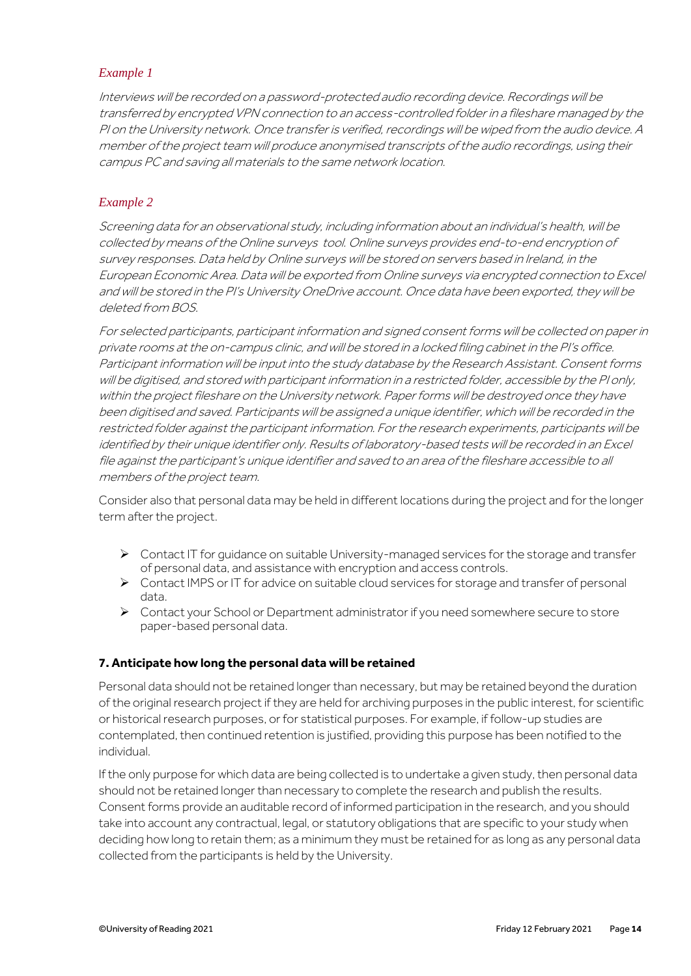## *Example 1*

Interviews will be recorded on a password-protected audio recording device. Recordings will be transferred by encrypted VPN connection to an access-controlled folder in a fileshare managed by the PI on the University network. Once transfer is verified, recordings will be wiped from the audio device. A member of the project team will produce anonymised transcripts of the audio recordings, using their campus PC and saving all materials to the same network location.

## *Example 2*

Screening data for an observational study, including information about an individual's health, will be collected by means of the Online surveys tool. Online surveys provides end-to-end encryption of survey responses. Data held by Online surveys will be stored on servers based in Ireland, in the European Economic Area. Data will be exported from Online surveys via encrypted connection to Excel and will be stored in the PI's University OneDrive account. Once data have been exported, they will be deleted from BOS.

For selected participants, participant information and signed consent forms will be collected on paper in private rooms at the on-campus clinic, and will be stored in a locked filing cabinet in the PI's office. Participant information will be input into the study database by the Research Assistant. Consent forms will be digitised, and stored with participant information in a restricted folder, accessible by the PI only, within the project fileshare on the University network. Paper forms will be destroyed once they have been digitised and saved. Participants will be assigned a unique identifier, which will be recorded in the restricted folder against the participant information. For the research experiments, participants will be identified by their unique identifier only. Results of laboratory-based tests will be recorded in an Excel file against the participant's unique identifier and saved to an area of the fileshare accessible to all members of the project team.

Consider also that personal data may be held in different locations during the project and for the longer term after the project.

- Contact IT for guidance on suitable University-managed services for the storage and transfer of personal data, and assistance with encryption and access controls.
- $\triangleright$  Contact IMPS or IT for advice on suitable cloud services for storage and transfer of personal data.
- Contact your School or Department administrator if you need somewhere secure to store paper-based personal data.

#### <span id="page-13-0"></span>**7. Anticipate how long the personal data will be retained**

Personal data should not be retained longer than necessary, but may be retained beyond the duration of the original research project if they are held for archiving purposes in the public interest, for scientific or historical research purposes, or for statistical purposes. For example, if follow-up studies are contemplated, then continued retention is justified, providing this purpose has been notified to the individual.

If the only purpose for which data are being collected is to undertake a given study, then personal data should not be retained longer than necessary to complete the research and publish the results. Consent forms provide an auditable record of informed participation in the research, and you should take into account any contractual, legal, or statutory obligations that are specific to your study when deciding how long to retain them; as a minimum they must be retained for as long as any personal data collected from the participants is held by the University.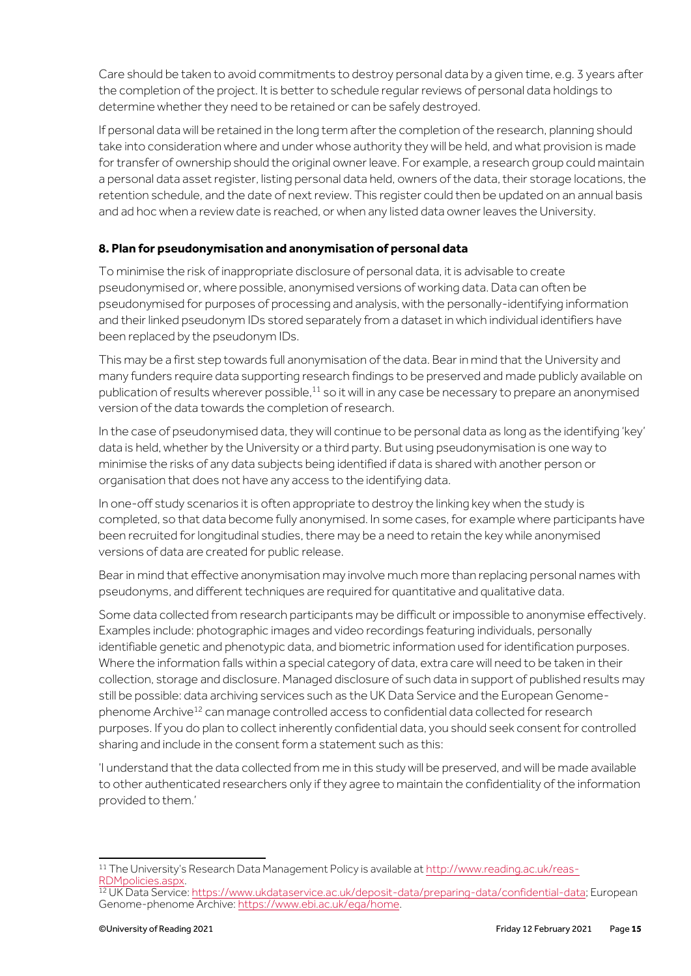Care should be taken to avoid commitments to destroy personal data by a given time, e.g. 3 years after the completion of the project. It is better to schedule regular reviews of personal data holdings to determine whether they need to be retained or can be safely destroyed.

If personal data will be retained in the long term after the completion of the research, planning should take into consideration where and under whose authority they will be held, and what provision is made for transfer of ownership should the original owner leave. For example, a research group could maintain a personal data asset register, listing personal data held, owners of the data, their storage locations, the retention schedule, and the date of next review. This register could then be updated on an annual basis and ad hoc when a review date is reached, or when any listed data owner leaves the University.

## <span id="page-14-0"></span>**8. Plan for pseudonymisation and anonymisation of personal data**

To minimise the risk of inappropriate disclosure of personal data, it is advisable to create pseudonymised or, where possible, anonymised versions of working data. Data can often be pseudonymised for purposes of processing and analysis, with the personally-identifying information and their linked pseudonym IDs stored separately from a dataset in which individual identifiers have been replaced by the pseudonym IDs.

This may be a first step towards full anonymisation of the data. Bear in mind that the University and many funders require data supporting research findings to be preserved and made publicly available on publication of results wherever possible,<sup>11</sup> so it will in any case be necessary to prepare an anonymised version of the data towards the completion of research.

In the case of pseudonymised data, they will continue to be personal data as long as the identifying 'key' data is held, whether by the University or a third party. But using pseudonymisation is one way to minimise the risks of any data subjects being identified if data is shared with another person or organisation that does not have any access to the identifying data.

In one-off study scenarios it is often appropriate to destroy the linking key when the study is completed, so that data become fully anonymised. In some cases, for example where participants have been recruited for longitudinal studies, there may be a need to retain the key while anonymised versions of data are created for public release.

Bear in mind that effective anonymisation may involve much more than replacing personal names with pseudonyms, and different techniques are required for quantitative and qualitative data.

Some data collected from research participants may be difficult or impossible to anonymise effectively. Examples include: photographic images and video recordings featuring individuals, personally identifiable genetic and phenotypic data, and biometric information used for identification purposes. Where the information falls within a special category of data, extra care will need to be taken in their collection, storage and disclosure. Managed disclosure of such data in support of published results may still be possible: data archiving services such as the UK Data Service and the European Genomephenome Archive<sup>12</sup> can manage controlled access to confidential data collected for research purposes. If you do plan to collect inherently confidential data, you should seek consent for controlled sharing and include in the consent form a statement such as this:

'I understand that the data collected from me in this study will be preserved, and will be made available to other authenticated researchers only if they agree to maintain the confidentiality of the information provided to them.'

<sup>.</sup> <sup>11</sup> The University's Research Data Management Policy is available at [http://www.reading.ac.uk/reas-](http://www.reading.ac.uk/reas-RDMpolicies.aspx)[RDMpolicies.aspx.](http://www.reading.ac.uk/reas-RDMpolicies.aspx)

<sup>12</sup> UK Data Service[: https://www.ukdataservice.ac.uk/deposit-data/preparing-data/confidential-data;](https://www.ukdataservice.ac.uk/deposit-data/preparing-data/confidential-data) European Genome-phenome Archive[: https://www.ebi.ac.uk/ega/home.](https://www.ebi.ac.uk/ega/home)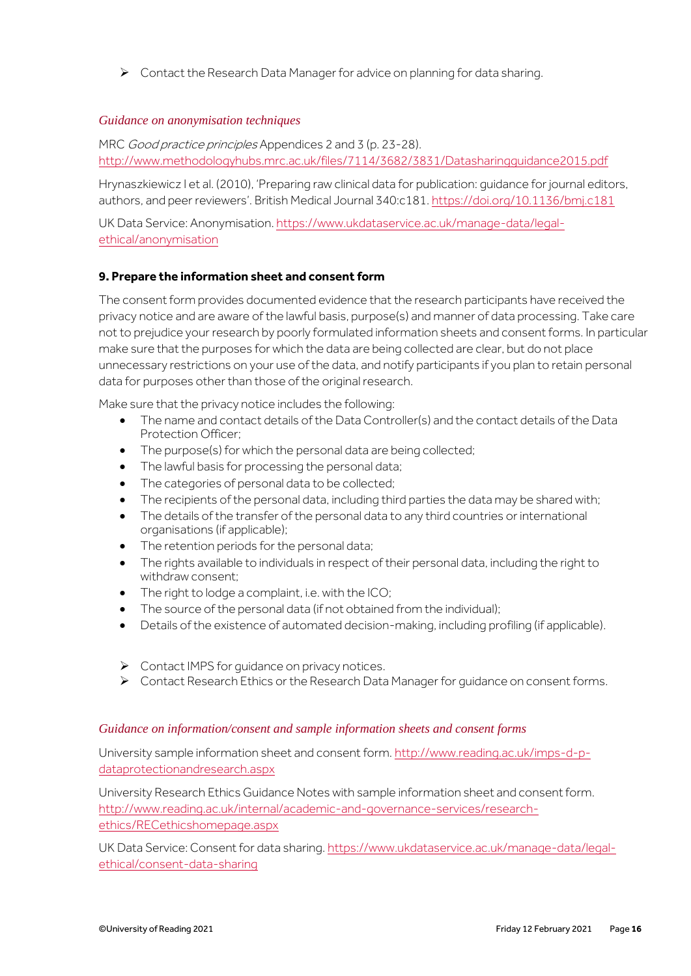$\triangleright$  Contact the Research Data Manager for advice on planning for data sharing.

#### *Guidance on anonymisation techniques*

MRC Good practice principles Appendices 2 and 3 (p. 23-28). <http://www.methodologyhubs.mrc.ac.uk/files/7114/3682/3831/Datasharingguidance2015.pdf>

Hrynaszkiewicz I et al. (2010), 'Preparing raw clinical data for publication: guidance for journal editors, authors, and peer reviewers'. British Medical Journal 340:c181. <https://doi.org/10.1136/bmj.c181>

UK Data Service: Anonymisation[. https://www.ukdataservice.ac.uk/manage-data/legal](https://www.ukdataservice.ac.uk/manage-data/legal-ethical/anonymisation)[ethical/anonymisation](https://www.ukdataservice.ac.uk/manage-data/legal-ethical/anonymisation)

### <span id="page-15-0"></span>**9. Prepare the information sheet and consent form**

The consent form provides documented evidence that the research participants have received the privacy notice and are aware of the lawful basis, purpose(s) and manner of data processing. Take care not to prejudice your research by poorly formulated information sheets and consent forms. In particular make sure that the purposes for which the data are being collected are clear, but do not place unnecessary restrictions on your use of the data, and notify participants if you plan to retain personal data for purposes other than those of the original research.

Make sure that the privacy notice includes the following:

- The name and contact details of the Data Controller(s) and the contact details of the Data Protection Officer;
- The purpose(s) for which the personal data are being collected;
- The lawful basis for processing the personal data;
- The categories of personal data to be collected;
- The recipients of the personal data, including third parties the data may be shared with;
- The details of the transfer of the personal data to any third countries or international organisations (if applicable);
- The retention periods for the personal data;
- The rights available to individuals in respect of their personal data, including the right to withdraw consent;
- The right to lodge a complaint, i.e. with the ICO;
- The source of the personal data (if not obtained from the individual);
- Details of the existence of automated decision-making, including profiling (if applicable).
- ▶ Contact IMPS for quidance on privacy notices.
- Contact Research Ethics or the Research Data Manager for guidance on consent forms.

#### *Guidance on information/consent and sample information sheets and consent forms*

University sample information sheet and consent form[. http://www.reading.ac.uk/imps-d-p](http://www.reading.ac.uk/imps-d-p-dataprotectionandresearch.aspx)[dataprotectionandresearch.aspx](http://www.reading.ac.uk/imps-d-p-dataprotectionandresearch.aspx)

University Research Ethics Guidance Notes with sample information sheet and consent form. [http://www.reading.ac.uk/internal/academic-and-governance-services/research](http://www.reading.ac.uk/internal/academic-and-governance-services/research-ethics/RECethicshomepage.aspx)[ethics/RECethicshomepage.aspx](http://www.reading.ac.uk/internal/academic-and-governance-services/research-ethics/RECethicshomepage.aspx)

UK Data Service: Consent for data sharing[. https://www.ukdataservice.ac.uk/manage-data/legal](https://www.ukdataservice.ac.uk/manage-data/legal-ethical/consent-data-sharing)[ethical/consent-data-sharing](https://www.ukdataservice.ac.uk/manage-data/legal-ethical/consent-data-sharing)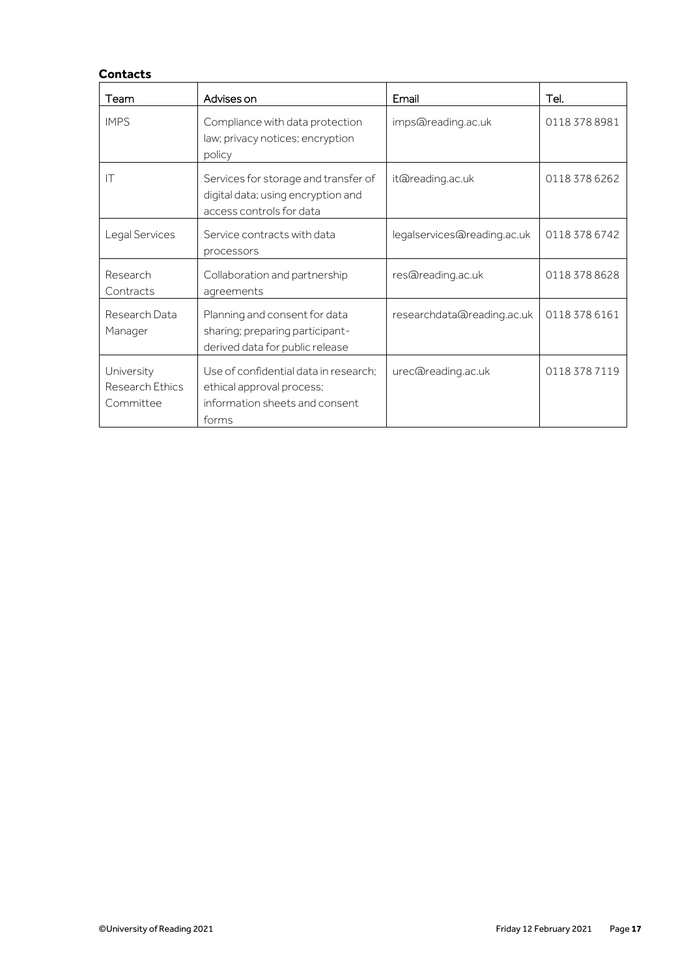# <span id="page-16-0"></span>**Contacts**

| Team                                       | Advises on                                                                                                    | Email                       | Tel.          |
|--------------------------------------------|---------------------------------------------------------------------------------------------------------------|-----------------------------|---------------|
| <b>IMPS</b>                                | Compliance with data protection<br>law; privacy notices; encryption<br>policy                                 | imps@reading.ac.uk          | 01183788981   |
| IТ                                         | Services for storage and transfer of<br>digital data; using encryption and<br>access controls for data        | it@reading.ac.uk            | 0118 378 6262 |
| Legal Services                             | Service contracts with data<br>processors                                                                     | legalservices@reading.ac.uk | 0118 378 6742 |
| Research<br>Contracts                      | Collaboration and partnership<br>agreements                                                                   | res@reading.ac.uk           | 01183788628   |
| Research Data<br>Manager                   | Planning and consent for data<br>sharing; preparing participant-<br>derived data for public release           | researchdata@reading.ac.uk  | 0118 378 6161 |
| University<br>Research Ethics<br>Committee | Use of confidential data in research;<br>ethical approval process;<br>information sheets and consent<br>forms | urec@reading.ac.uk          | 01183787119   |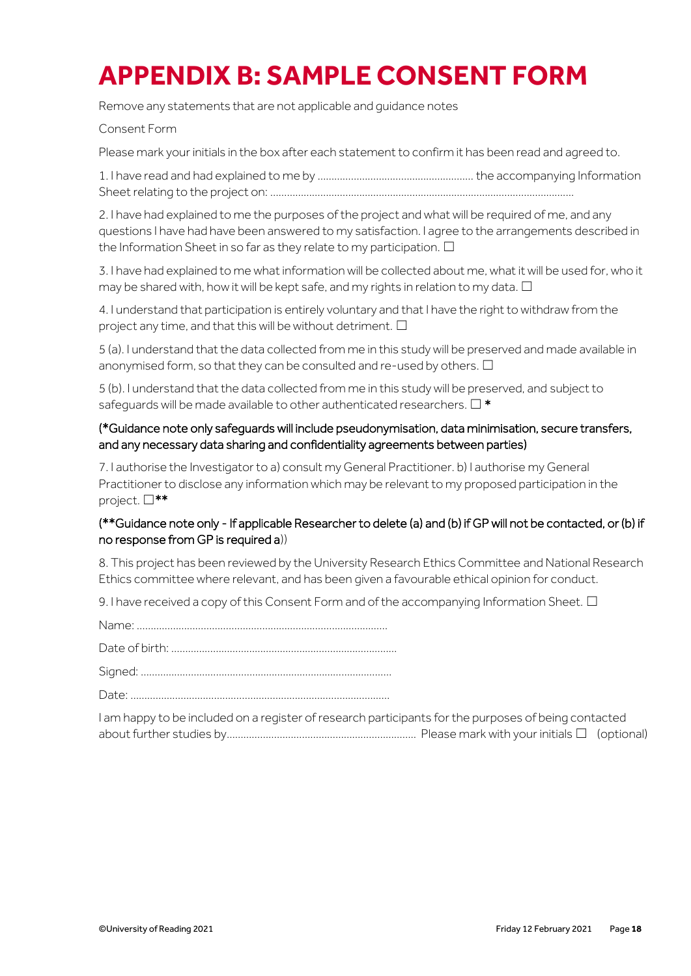# **APPENDIX B: SAMPLE CONSENT FORM**

Remove any statements that are not applicable and guidance notes

Consent Form

Please mark your initials in the box after each statement to confirm it has been read and agreed to.

1. I have read and had explained to me by ……………………………………………..… the accompanying Information Sheet relating to the project on: ……………………………………………………………………………………………....

2. I have had explained to me the purposes of the project and what will be required of me, and any questions I have had have been answered to my satisfaction. I agree to the arrangements described in the Information Sheet in so far as they relate to my participation.  $\square$ 

3. I have had explained to me what information will be collected about me, what it will be used for, who it may be shared with, how it will be kept safe, and my rights in relation to my data.  $\Box$ 

4. I understand that participation is entirely voluntary and that I have the right to withdraw from the project any time, and that this will be without detriment.  $\square$ 

5 (a). I understand that the data collected from me in this study will be preserved and made available in anonymised form, so that they can be consulted and re-used by others.  $\Box$ 

5 (b). I understand that the data collected from me in this study will be preserved, and subject to safeguards will be made available to other authenticated researchers.  $\Box$ \*

### (\*Guidance note only safeguards will include pseudonymisation, data minimisation, secure transfers, and any necessary data sharing and confidentiality agreements between parties)

7. I authorise the Investigator to a) consult my General Practitioner. b) I authorise my General Practitioner to disclose any information which may be relevant to my proposed participation in the project. ☐\*\*

## (\*\*Guidance note only - If applicable Researcher to delete (a) and (b) if GP will not be contacted, or (b) if no response from GP is required a))

8. This project has been reviewed by the University Research Ethics Committee and National Research Ethics committee where relevant, and has been given a favourable ethical opinion for conduct.

9. I have received a copy of this Consent Form and of the accompanying Information Sheet.  $\Box$ 

Signed: ……………………………………………...………………………………

Date: ………………………………………………………...………………………

I am happy to be included on a register of research participants for the purposes of being contacted about further studies by………………………………………………………….. Please mark with your initials ☐ (optional)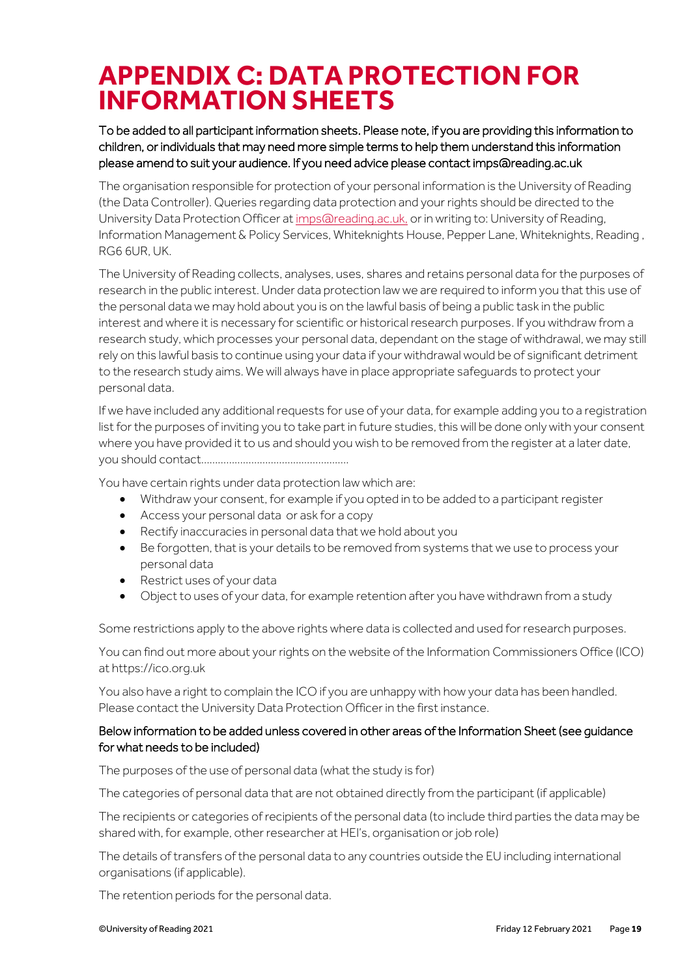# **APPENDIX C: DATA PROTECTION FOR INFORMATION SHEETS**

To be added to all participant information sheets. Please note, if you are providing this information to children, or individuals that may need more simple terms to help them understand this information please amend to suit your audience. If you need advice please contact imps@reading.ac.uk

The organisation responsible for protection of your personal information is the University of Reading (the Data Controller). Queries regarding data protection and your rights should be directed to the University Data Protection Officer a[t imps@reading.ac.uk,](mailto:imps@reading.ac.uk) or in writing to: University of Reading, Information Management & Policy Services, Whiteknights House, Pepper Lane, Whiteknights, Reading , RG6 6UR, UK.

The University of Reading collects, analyses, uses, shares and retains personal data for the purposes of research in the public interest. Under data protection law we are required to inform you that this use of the personal data we may hold about you is on the lawful basis of being a public task in the public interest and where it is necessary for scientific or historical research purposes. If you withdraw from a research study, which processes your personal data, dependant on the stage of withdrawal, we may still rely on this lawful basis to continue using your data if your withdrawal would be of significant detriment to the research study aims. We will always have in place appropriate safeguards to protect your personal data.

If we have included any additional requests for use of your data, for example adding you to a registration list for the purposes of inviting you to take part in future studies, this will be done only with your consent where you have provided it to us and should you wish to be removed from the register at a later date, you should contact……………………………………………..

You have certain rights under data protection law which are:

- Withdraw your consent, for example if you opted in to be added to a participant register
- Access your personal data or ask for a copy
- Rectify inaccuracies in personal data that we hold about you
- Be forgotten, that is your details to be removed from systems that we use to process your personal data
- Restrict uses of your data
- Object to uses of your data, for example retention after you have withdrawn from a study

Some restrictions apply to the above rights where data is collected and used for research purposes.

You can find out more about your rights on the website of the Information Commissioners Office (ICO) at https://ico.org.uk

You also have a right to complain the ICO if you are unhappy with how your data has been handled. Please contact the University Data Protection Officer in the first instance.

### Below information to be added unless covered in other areas of the Information Sheet (see guidance for what needs to be included)

The purposes of the use of personal data (what the study is for)

The categories of personal data that are not obtained directly from the participant (if applicable)

The recipients or categories of recipients of the personal data (to include third parties the data may be shared with, for example, other researcher at HEI's, organisation or job role)

The details of transfers of the personal data to any countries outside the EU including international organisations (if applicable).

The retention periods for the personal data.